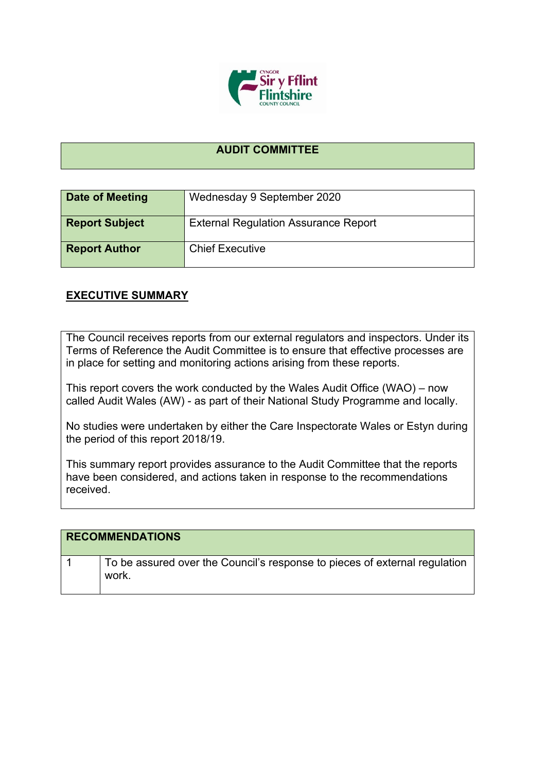

## **AUDIT COMMITTEE**

| Date of Meeting       | Wednesday 9 September 2020                  |
|-----------------------|---------------------------------------------|
| <b>Report Subject</b> | <b>External Regulation Assurance Report</b> |
| <b>Report Author</b>  | <b>Chief Executive</b>                      |

## **EXECUTIVE SUMMARY**

The Council receives reports from our external regulators and inspectors. Under its Terms of Reference the Audit Committee is to ensure that effective processes are in place for setting and monitoring actions arising from these reports.

This report covers the work conducted by the Wales Audit Office (WAO) – now called Audit Wales (AW) - as part of their National Study Programme and locally.

No studies were undertaken by either the Care Inspectorate Wales or Estyn during the period of this report 2018/19.

This summary report provides assurance to the Audit Committee that the reports have been considered, and actions taken in response to the recommendations received.

## **RECOMMENDATIONS**

| To be assured over the Council's response to pieces of external regulation |
|----------------------------------------------------------------------------|
|                                                                            |
| work.                                                                      |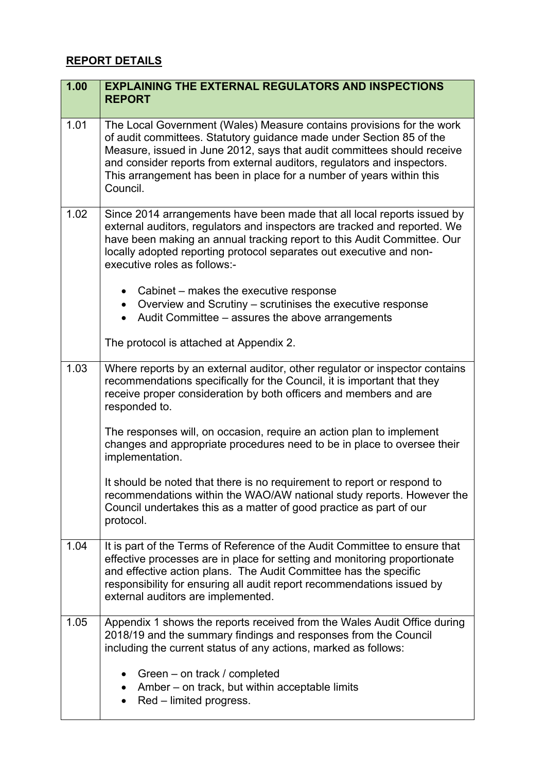## **REPORT DETAILS**

| 1.00 | <b>EXPLAINING THE EXTERNAL REGULATORS AND INSPECTIONS</b><br><b>REPORT</b>                                                                                                                                                                                                                                                                                                              |  |
|------|-----------------------------------------------------------------------------------------------------------------------------------------------------------------------------------------------------------------------------------------------------------------------------------------------------------------------------------------------------------------------------------------|--|
| 1.01 | The Local Government (Wales) Measure contains provisions for the work<br>of audit committees. Statutory guidance made under Section 85 of the<br>Measure, issued in June 2012, says that audit committees should receive<br>and consider reports from external auditors, regulators and inspectors.<br>This arrangement has been in place for a number of years within this<br>Council. |  |
| 1.02 | Since 2014 arrangements have been made that all local reports issued by<br>external auditors, regulators and inspectors are tracked and reported. We<br>have been making an annual tracking report to this Audit Committee. Our<br>locally adopted reporting protocol separates out executive and non-<br>executive roles as follows:-                                                  |  |
|      | • Cabinet $-$ makes the executive response<br>• Overview and Scrutiny – scrutinises the executive response<br>Audit Committee - assures the above arrangements<br>The protocol is attached at Appendix 2.                                                                                                                                                                               |  |
| 1.03 | Where reports by an external auditor, other regulator or inspector contains<br>recommendations specifically for the Council, it is important that they<br>receive proper consideration by both officers and members and are<br>responded to.                                                                                                                                            |  |
|      | The responses will, on occasion, require an action plan to implement<br>changes and appropriate procedures need to be in place to oversee their<br>implementation.                                                                                                                                                                                                                      |  |
|      | It should be noted that there is no requirement to report or respond to<br>recommendations within the WAO/AW national study reports. However the<br>Council undertakes this as a matter of good practice as part of our<br>protocol.                                                                                                                                                    |  |
| 1.04 | It is part of the Terms of Reference of the Audit Committee to ensure that<br>effective processes are in place for setting and monitoring proportionate<br>and effective action plans. The Audit Committee has the specific<br>responsibility for ensuring all audit report recommendations issued by<br>external auditors are implemented.                                             |  |
| 1.05 | Appendix 1 shows the reports received from the Wales Audit Office during<br>2018/19 and the summary findings and responses from the Council<br>including the current status of any actions, marked as follows:                                                                                                                                                                          |  |
|      | • Green $-$ on track / completed<br>Amber – on track, but within acceptable limits<br>Red – limited progress.                                                                                                                                                                                                                                                                           |  |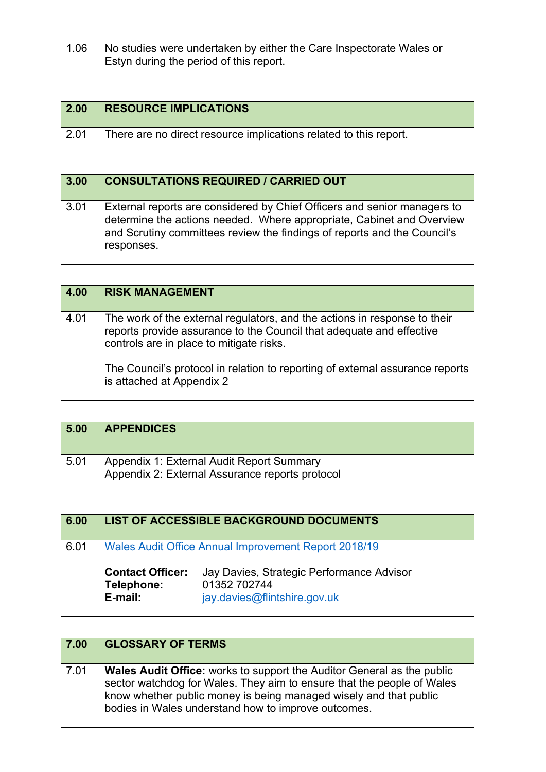| $^{\circ}$ 1.06 | No studies were undertaken by either the Care Inspectorate Wales or<br>Estyn during the period of this report. |
|-----------------|----------------------------------------------------------------------------------------------------------------|
|                 |                                                                                                                |

| $\vert$ 2.00    | <b>RESOURCE IMPLICATIONS</b>                                      |
|-----------------|-------------------------------------------------------------------|
| $^{\circ}$ 2.01 | There are no direct resource implications related to this report. |

| 3.00 | <b>CONSULTATIONS REQUIRED / CARRIED OUT</b>                                                                                                                                                                                                 |
|------|---------------------------------------------------------------------------------------------------------------------------------------------------------------------------------------------------------------------------------------------|
| 3.01 | External reports are considered by Chief Officers and senior managers to<br>determine the actions needed. Where appropriate, Cabinet and Overview<br>and Scrutiny committees review the findings of reports and the Council's<br>responses. |

| 4.00 | <b>RISK MANAGEMENT</b>                                                                                                                                                                        |
|------|-----------------------------------------------------------------------------------------------------------------------------------------------------------------------------------------------|
| 4.01 | The work of the external regulators, and the actions in response to their<br>reports provide assurance to the Council that adequate and effective<br>controls are in place to mitigate risks. |
|      | The Council's protocol in relation to reporting of external assurance reports<br>is attached at Appendix 2                                                                                    |

| 5.00 | <b>APPENDICES</b>                                                                            |
|------|----------------------------------------------------------------------------------------------|
| 5.01 | Appendix 1: External Audit Report Summary<br>Appendix 2: External Assurance reports protocol |

| 6.00 |                                                  | <b>LIST OF ACCESSIBLE BACKGROUND DOCUMENTS</b>                                                                                                           |
|------|--------------------------------------------------|----------------------------------------------------------------------------------------------------------------------------------------------------------|
| 6.01 | <b>Contact Officer:</b><br>Telephone:<br>E-mail: | <b>Wales Audit Office Annual Improvement Report 2018/19</b><br>Jay Davies, Strategic Performance Advisor<br>01352 702744<br>jay.davies@flintshire.gov.uk |

| 7.00 | <b>GLOSSARY OF TERMS</b>                                                                                                                                                                                                                                                            |
|------|-------------------------------------------------------------------------------------------------------------------------------------------------------------------------------------------------------------------------------------------------------------------------------------|
| 7.01 | <b>Wales Audit Office:</b> works to support the Auditor General as the public<br>sector watchdog for Wales. They aim to ensure that the people of Wales<br>know whether public money is being managed wisely and that public<br>bodies in Wales understand how to improve outcomes. |